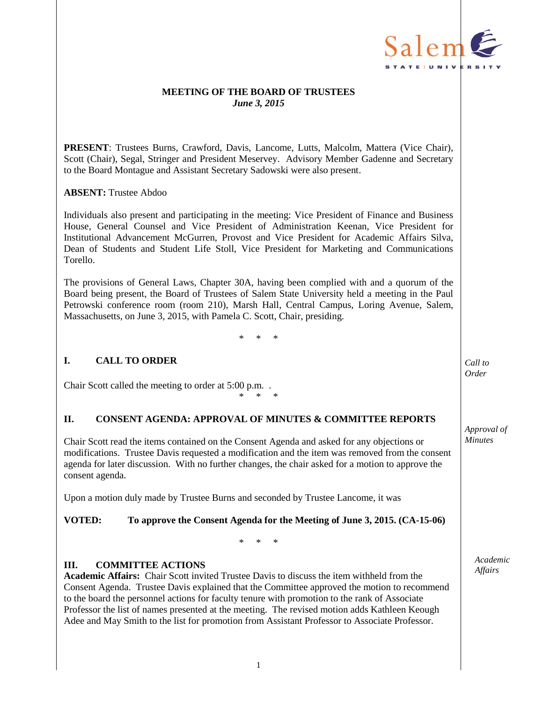

# **MEETING OF THE BOARD OF TRUSTEES** *June 3, 2015*

**PRESENT**: Trustees Burns, Crawford, Davis, Lancome, Lutts, Malcolm, Mattera (Vice Chair), Scott (Chair), Segal, Stringer and President Meservey. Advisory Member Gadenne and Secretary to the Board Montague and Assistant Secretary Sadowski were also present.

# **ABSENT:** Trustee Abdoo

Individuals also present and participating in the meeting: Vice President of Finance and Business House, General Counsel and Vice President of Administration Keenan, Vice President for Institutional Advancement McGurren, Provost and Vice President for Academic Affairs Silva, Dean of Students and Student Life Stoll, Vice President for Marketing and Communications Torello.

The provisions of General Laws, Chapter 30A, having been complied with and a quorum of the Board being present, the Board of Trustees of Salem State University held a meeting in the Paul Petrowski conference room (room 210), Marsh Hall, Central Campus, Loring Avenue, Salem, Massachusetts, on June 3, 2015, with Pamela C. Scott, Chair, presiding.

\* \* \*

# **I. CALL TO ORDER**

Chair Scott called the meeting to order at 5:00 p.m. .

# **II. CONSENT AGENDA: APPROVAL OF MINUTES & COMMITTEE REPORTS**

\* \* \*

Chair Scott read the items contained on the Consent Agenda and asked for any objections or modifications. Trustee Davis requested a modification and the item was removed from the consent agenda for later discussion. With no further changes, the chair asked for a motion to approve the consent agenda.

Upon a motion duly made by Trustee Burns and seconded by Trustee Lancome, it was

# **VOTED: To approve the Consent Agenda for the Meeting of June 3, 2015. (CA-15-06)**

\* \* \*

#### **III. COMMITTEE ACTIONS**

**Academic Affairs:** Chair Scott invited Trustee Davis to discuss the item withheld from the Consent Agenda. Trustee Davis explained that the Committee approved the motion to recommend to the board the personnel actions for faculty tenure with promotion to the rank of Associate Professor the list of names presented at the meeting. The revised motion adds Kathleen Keough Adee and May Smith to the list for promotion from Assistant Professor to Associate Professor.

*Call to Order*

*Approval of Minutes*

> *Academic Affairs*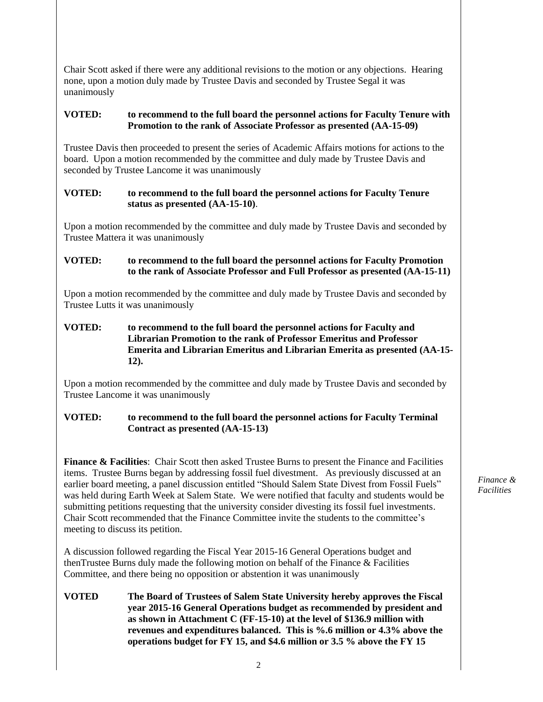Chair Scott asked if there were any additional revisions to the motion or any objections. Hearing none, upon a motion duly made by Trustee Davis and seconded by Trustee Segal it was unanimously

# **VOTED: to recommend to the full board the personnel actions for Faculty Tenure with Promotion to the rank of Associate Professor as presented (AA-15-09)**

Trustee Davis then proceeded to present the series of Academic Affairs motions for actions to the board. Upon a motion recommended by the committee and duly made by Trustee Davis and seconded by Trustee Lancome it was unanimously

# **VOTED: to recommend to the full board the personnel actions for Faculty Tenure status as presented (AA-15-10)**.

Upon a motion recommended by the committee and duly made by Trustee Davis and seconded by Trustee Mattera it was unanimously

# **VOTED: to recommend to the full board the personnel actions for Faculty Promotion to the rank of Associate Professor and Full Professor as presented (AA-15-11)**

Upon a motion recommended by the committee and duly made by Trustee Davis and seconded by Trustee Lutts it was unanimously

# **VOTED: to recommend to the full board the personnel actions for Faculty and Librarian Promotion to the rank of Professor Emeritus and Professor Emerita and Librarian Emeritus and Librarian Emerita as presented (AA-15- 12).**

Upon a motion recommended by the committee and duly made by Trustee Davis and seconded by Trustee Lancome it was unanimously

# **VOTED: to recommend to the full board the personnel actions for Faculty Terminal Contract as presented (AA-15-13)**

**Finance & Facilities**: Chair Scott then asked Trustee Burns to present the Finance and Facilities items. Trustee Burns began by addressing fossil fuel divestment. As previously discussed at an earlier board meeting, a panel discussion entitled "Should Salem State Divest from Fossil Fuels" was held during Earth Week at Salem State. We were notified that faculty and students would be submitting petitions requesting that the university consider divesting its fossil fuel investments. Chair Scott recommended that the Finance Committee invite the students to the committee's meeting to discuss its petition.

A discussion followed regarding the Fiscal Year 2015-16 General Operations budget and thenTrustee Burns duly made the following motion on behalf of the Finance & Facilities Committee, and there being no opposition or abstention it was unanimously

# **VOTED The Board of Trustees of Salem State University hereby approves the Fiscal year 2015-16 General Operations budget as recommended by president and as shown in Attachment C (FF-15-10) at the level of \$136.9 million with revenues and expenditures balanced. This is %.6 million or 4.3% above the operations budget for FY 15, and \$4.6 million or 3.5 % above the FY 15**

*Finance & Facilities*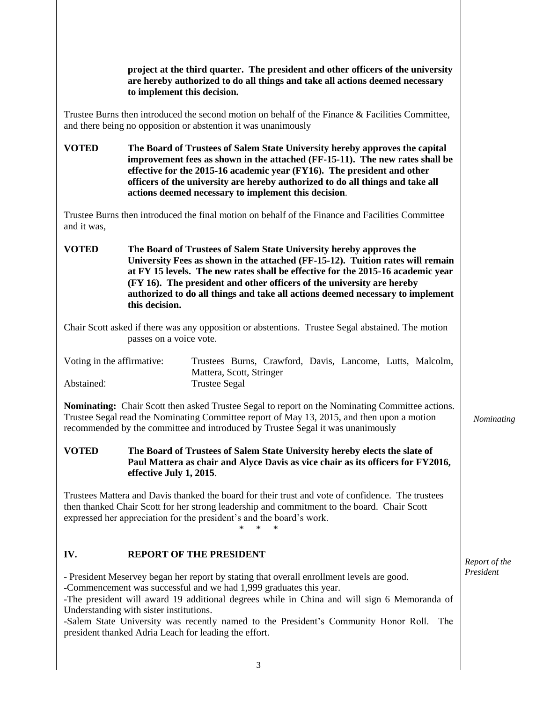**project at the third quarter. The president and other officers of the university are hereby authorized to do all things and take all actions deemed necessary to implement this decision.**

Trustee Burns then introduced the second motion on behalf of the Finance & Facilities Committee, and there being no opposition or abstention it was unanimously

**VOTED The Board of Trustees of Salem State University hereby approves the capital improvement fees as shown in the attached (FF-15-11). The new rates shall be effective for the 2015-16 academic year (FY16). The president and other officers of the university are hereby authorized to do all things and take all actions deemed necessary to implement this decision**.

Trustee Burns then introduced the final motion on behalf of the Finance and Facilities Committee and it was,

**VOTED The Board of Trustees of Salem State University hereby approves the University Fees as shown in the attached (FF-15-12). Tuition rates will remain at FY 15 levels. The new rates shall be effective for the 2015-16 academic year (FY 16). The president and other officers of the university are hereby authorized to do all things and take all actions deemed necessary to implement this decision.**

Chair Scott asked if there was any opposition or abstentions. Trustee Segal abstained. The motion passes on a voice vote.

| Voting in the affirmative: |                          | Trustees Burns, Crawford, Davis, Lancome, Lutts, Malcolm, |  |  |
|----------------------------|--------------------------|-----------------------------------------------------------|--|--|
|                            | Mattera, Scott, Stringer |                                                           |  |  |
| Abstained:                 | Trustee Segal            |                                                           |  |  |

**Nominating:** Chair Scott then asked Trustee Segal to report on the Nominating Committee actions. Trustee Segal read the Nominating Committee report of May 13, 2015, and then upon a motion recommended by the committee and introduced by Trustee Segal it was unanimously

**VOTED The Board of Trustees of Salem State University hereby elects the slate of Paul Mattera as chair and Alyce Davis as vice chair as its officers for FY2016, effective July 1, 2015**.

Trustees Mattera and Davis thanked the board for their trust and vote of confidence. The trustees then thanked Chair Scott for her strong leadership and commitment to the board. Chair Scott expressed her appreciation for the president's and the board's work.

# \* \* \*

*Report of the President*

*Nominating*

# **IV. REPORT OF THE PRESIDENT**

- President Meservey began her report by stating that overall enrollment levels are good.

-Commencement was successful and we had 1,999 graduates this year.

-The president will award 19 additional degrees while in China and will sign 6 Memoranda of Understanding with sister institutions.

-Salem State University was recently named to the President's Community Honor Roll. The president thanked Adria Leach for leading the effort.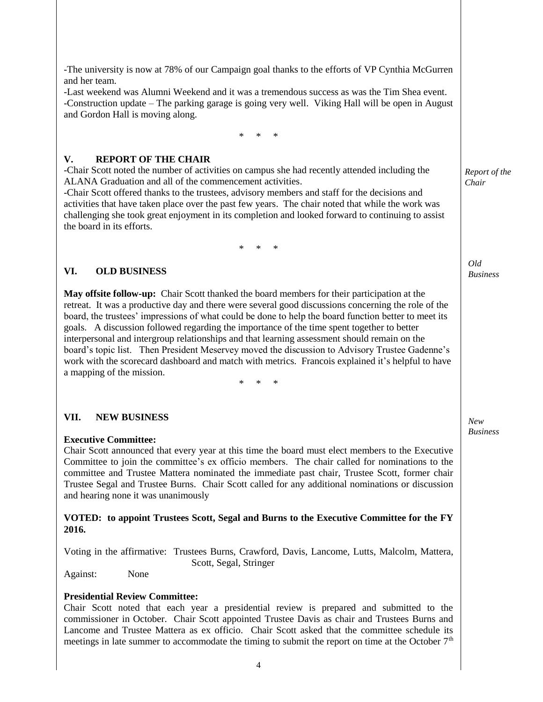-The university is now at 78% of our Campaign goal thanks to the efforts of VP Cynthia McGurren and her team.

-Last weekend was Alumni Weekend and it was a tremendous success as was the Tim Shea event. -Construction update – The parking garage is going very well. Viking Hall will be open in August and Gordon Hall is moving along.

\* \* \*

# **V. REPORT OF THE CHAIR**

-Chair Scott noted the number of activities on campus she had recently attended including the ALANA Graduation and all of the commencement activities.

-Chair Scott offered thanks to the trustees, advisory members and staff for the decisions and activities that have taken place over the past few years. The chair noted that while the work was challenging she took great enjoyment in its completion and looked forward to continuing to assist the board in its efforts.

\* \* \*

# **VI. OLD BUSINESS**

**May offsite follow-up:** Chair Scott thanked the board members for their participation at the retreat. It was a productive day and there were several good discussions concerning the role of the board, the trustees' impressions of what could be done to help the board function better to meet its goals. A discussion followed regarding the importance of the time spent together to better interpersonal and intergroup relationships and that learning assessment should remain on the board's topic list. Then President Meservey moved the discussion to Advisory Trustee Gadenne's work with the scorecard dashboard and match with metrics. Francois explained it's helpful to have a mapping of the mission.

\* \* \*

# **VII. NEW BUSINESS**

# **Executive Committee:**

Chair Scott announced that every year at this time the board must elect members to the Executive Committee to join the committee's ex officio members. The chair called for nominations to the committee and Trustee Mattera nominated the immediate past chair, Trustee Scott, former chair Trustee Segal and Trustee Burns. Chair Scott called for any additional nominations or discussion and hearing none it was unanimously

#### **VOTED: to appoint Trustees Scott, Segal and Burns to the Executive Committee for the FY 2016.**

Voting in the affirmative:Trustees Burns, Crawford, Davis, Lancome, Lutts, Malcolm, Mattera, Scott, Segal, Stringer

Against:None

# **Presidential Review Committee:**

Chair Scott noted that each year a presidential review is prepared and submitted to the commissioner in October. Chair Scott appointed Trustee Davis as chair and Trustees Burns and Lancome and Trustee Mattera as ex officio. Chair Scott asked that the committee schedule its meetings in late summer to accommodate the timing to submit the report on time at the October  $7<sup>th</sup>$ 

*Report of the Chair*

*Old Business*

*New Business*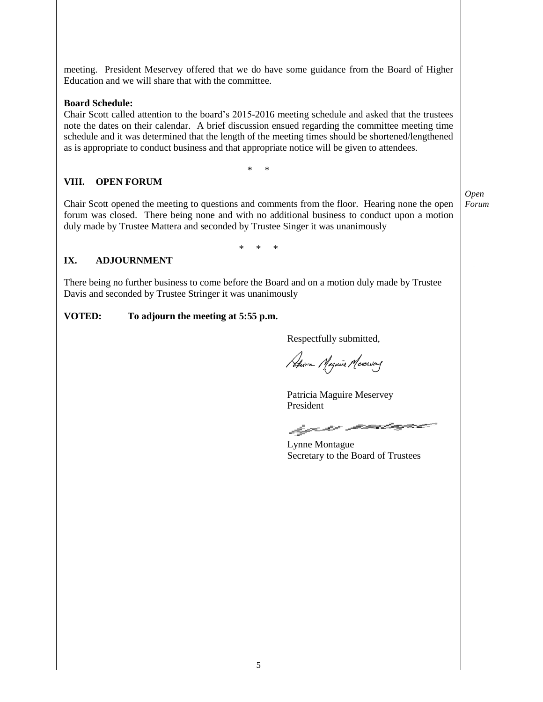meeting. President Meservey offered that we do have some guidance from the Board of Higher Education and we will share that with the committee.

# **Board Schedule:**

Chair Scott called attention to the board's 2015-2016 meeting schedule and asked that the trustees note the dates on their calendar. A brief discussion ensued regarding the committee meeting time schedule and it was determined that the length of the meeting times should be shortened/lengthened as is appropriate to conduct business and that appropriate notice will be given to attendees.

\* \*

# **VIII. OPEN FORUM**

Chair Scott opened the meeting to questions and comments from the floor. Hearing none the open forum was closed. There being none and with no additional business to conduct upon a motion duly made by Trustee Mattera and seconded by Trustee Singer it was unanimously

*Open Forum*

\* \* \*

# **IX. ADJOURNMENT**

There being no further business to come before the Board and on a motion duly made by Trustee Davis and seconded by Trustee Stringer it was unanimously

# **VOTED: To adjourn the meeting at 5:55 p.m.**

Respectfully submitted,

Pation Magnie Mexersay

Patricia Maguire Meservey President

hyro main

Lynne Montague Secretary to the Board of Trustees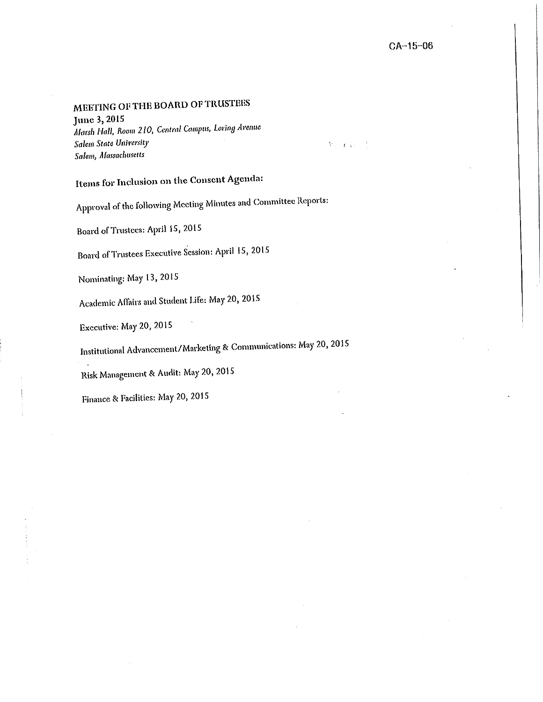# MEETING OF THE BOARD OF TRUSTEES

June 3, 2015

Marsh Hall, Room 210, Central Campus, Loring Avenue Salem State University Salem, Massachusetts

 $\mathcal{V}:=\mathbf{C}[\mathbf{x}^{1},\cdots]$ 

Items for Inclusion on the Consent Agenda:

Approval of the following Meeting Minutes and Committee Reports:

Board of Trustees: April 15, 2015

Board of Trustees Executive Session: April 15, 2015

Nominating: May 13, 2015

Academic Affairs and Student Life: May 20, 2015

Executive: May 20, 2015

Institutional Advancement/Marketing & Communications: May 20, 2015

Risk Management & Audit: May 20, 2015

Finance & Facilities: May 20, 2015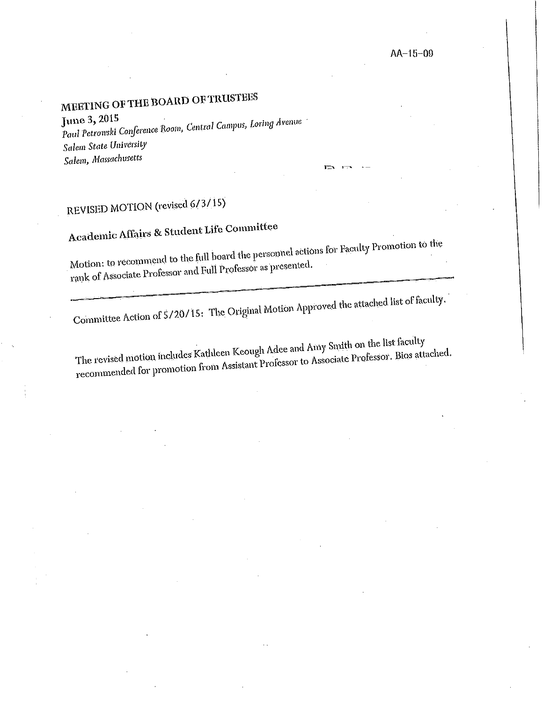# MEETING OF THE BOARD OF TRUSTEES

June 3, 2015

Paul Petrowski Conference Room, Central Campus, Loring Avenue Salem State University Salem, Massachusetts

# REVISED MOTION (revised 6/3/15)

# Academic Affairs & Student Life Committee

Motion: to recommend to the full board the personnel actions for Faculty Promotion to the rank of Associate Professor and Full Professor as presented.

 $\mathbf{r}$ 

Committee Action of 5/20/15: The Original Motion Approved the attached list of faculty.

The revised motion includes Kathleen Keough Adee and Amy Smith on the list faculty recommended for promotion from Assistant Professor to Associate Professor. Bios attached.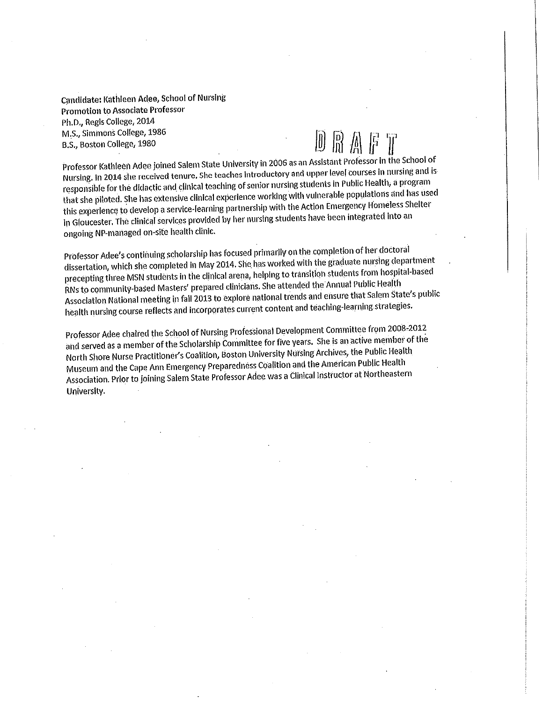Candidate: Kathleen Adee, School of Nursing **Promotion to Associate Professor** Ph.D., Regis College, 2014 M.S., Simmons College, 1986 B.S., Boston College, 1980

Professor Kathleen Adee joined Salem State University in 2006 as an Assistant Professor in the School of Nursing. In 2014 she received tenure. She teaches introductory and upper level courses in nursing and is responsible for the didactic and clinical teaching of senior nursing students in Public Health, a program that she piloted. She has extensive clinical experience working with vulnerable populations and has used this experience to develop a service-learning partnership with the Action Emergency Homeless Shelter In Gloucester. The clinical services provided by her nursing students have been integrated into an ongoing NP-managed on-site health clinic.

Professor Adee's continuing scholarship has focused primarily on the completion of her doctoral dissertation, which she completed in May 2014. She has worked with the graduate nursing department precepting three MSN students in the clinical arena, helping to transition students from hospital-based RNs to community-based Masters' prepared clinicians. She attended the Annual Public Health Association National meeting in fall 2013 to explore national trends and ensure that Salem State's public health nursing course reflects and incorporates current content and teaching-learning strategies.

Professor Adee chaired the School of Nursing Professional Development Committee from 2008-2012 and served as a member of the Scholarship Committee for five years. She is an active member of the North Shore Nurse Practitioner's Coalition, Boston University Nursing Archives, the Public Health Museum and the Cape Ann Emergency Preparedness Coalition and the American Public Health Association. Prior to joining Salem State Professor Adee was a Clinical Instructor at Northeastern University.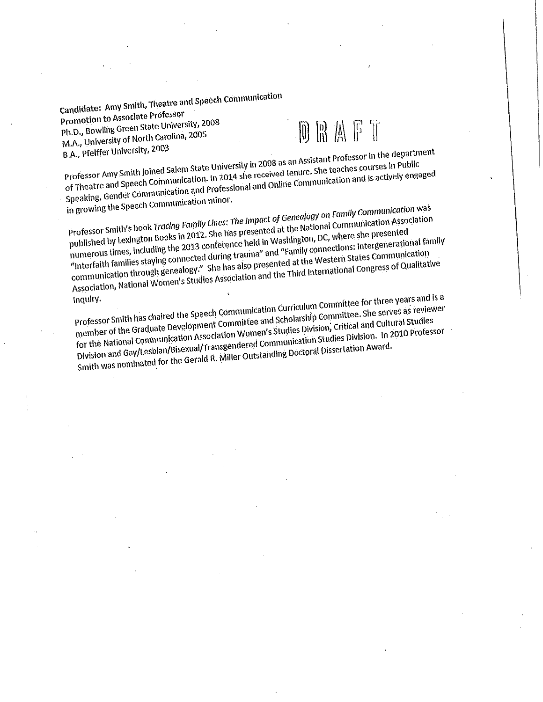Candidate: Amy Smith, Theatre and Speech Communication Promotion to Associate Professor Ph.D., Bowling Green State University, 2008 M.A., University of North Carolina, 2005 B.A., Pfeiffer University, 2003

# DRAFT

Professor Amy Smith joined Salem State University in 2008 as an Assistant Professor in the department of Theatre and Speech Communication. In 2014 she received tenure. She teaches courses in Public Speaking, Gender Communication and Professional and Online Communication and is actively engaged

in growing the Speech Communication minor.

Professor Smith's book Tracing Family Lines: The Impact of Genealogy on Family Communication was published by Lexington Books in 2012. She has presented at the National Communication Association numerous times, including the 2013 conference held in Washington, DC, where she presented "Interfaith families staying connected during trauma" and "Family connections: Intergenerational family communication through genealogy." She has also presented at the Western States Communication Association, National Women's Studies Association and the Third International Congress of Qualitative

Inquiry.

Professor Smith has chaired the Speech Communication Curriculum Committee for three years and is a member of the Graduate Development Committee and Scholarship Committee. She serves as reviewer for the National Communication Association Women's Studies Division, Critical and Cultural Studies Division and Gay/Lesblan/Bisexual/Transgendered Communication Studies Division. In 2010 Professor Smith was nominated for the Gerald R. Miller Outstanding Doctoral Dissertation Award.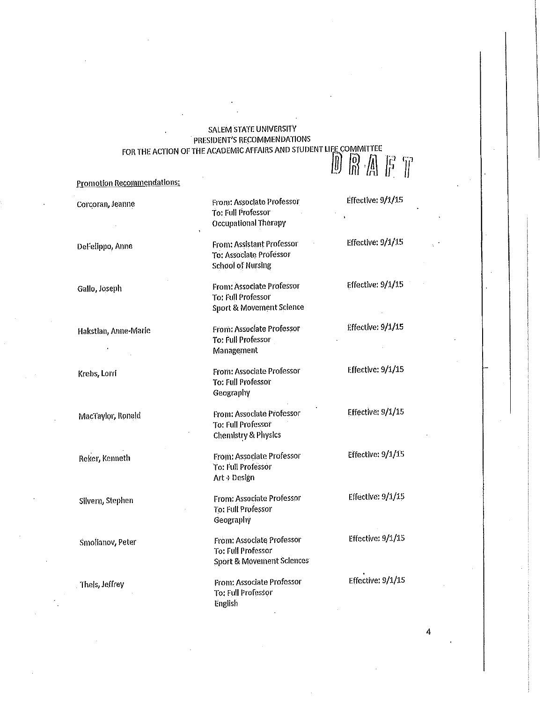# **SALEM STATE UNIVERSITY** PRESIDENT'S RECOMMENDATIONS FOR THE ACTION OF THE ACADEMIC AFFAIRS AND STUDENT LIFE COMMITTEE DRAFT

**Promotion Recommendations:** 

Effective: 9/1/15 From: Associate Professor Corcoran, Jeanne To: Full Professor Occupational Therapy Effective: 9/1/15 **From: Assistant Professor** DeFelippo, Anne To: Associate Professor **School of Nursing** Effective: 9/1/15 **From: Associate Professor** Gallo, Joseph To: Full Professor Sport & Movement Science Effective: 9/1/15 From: Associate Professor Hakstlan, Anne-Marie To: Full Professor Management Effective: 9/1/15 From: Associate Professor Krebs, Lorri To: Full Professor Geography Effective: 9/1/15 From: Associate Professor MacTaylor, Ronald To: Full Professor **Chemistry & Physics** Effective: 9/1/15 From: Associate Professor Reker, Kenneth **To: Full Professor** Art + Design Effective: 9/1/15 From: Associate Professor Silvern, Stephen To: Full Professor Geography Effective: 9/1/15 **From: Associate Professor** Smolianov, Peter To: Full Professor Sport & Movement Sciences Effective: 9/1/15 From: Associate Professor Theis, Jeffrey To: Full Professor English

4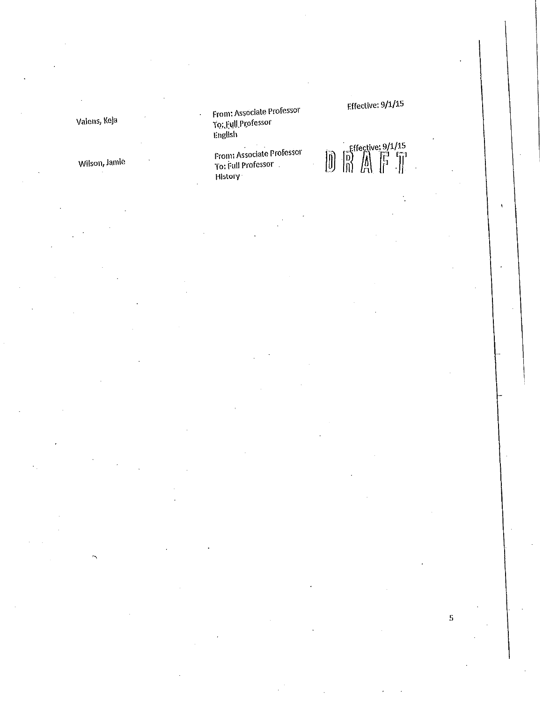Valens, Keja

Wilson, Jamie

From: Associate Professor<br>To: Full Professor<br>English

From: Associate Professor<br>To: Full Professor<br>History

Effective: 9/1/15

 $\bar{ }$ 

5

 $\begin{array}{ccc} \text{effective: } 9/1/15 \\ \text{m} & \text{m} \\ \text{m} & \text{m} \\ \end{array}$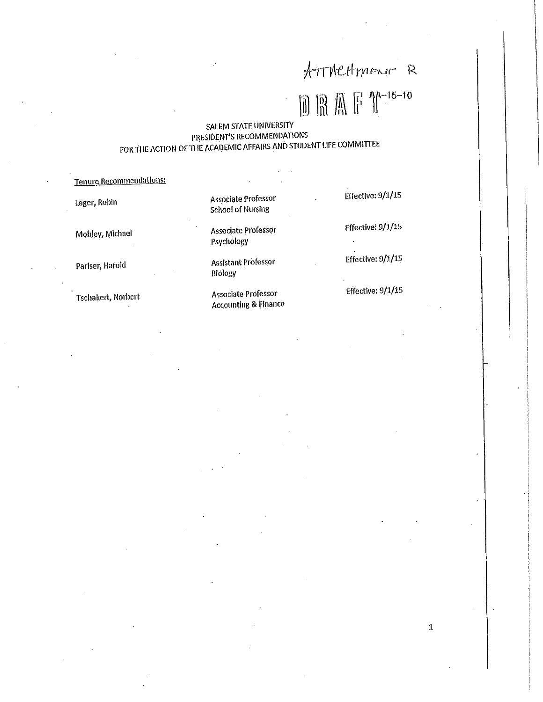# ATTACHMENT R

# $\boxed{\mathbb{D}}\ \boxed{\mathbb{R}}\ \boxed{\mathbb{R}}\ \boxed{\mathbb{F}}\ \boxed{\mathbb{P}}^{A-15-10}$

 $\mathbf{1}$ 

# SALEM STATE UNIVERSITY PRESIDENT'S RECOMMENDATIONS FOR THE ACTION OF THE ACADEMIC AFFAIRS AND STUDENT LIFE COMMITTEE

| Tenure Recommendations: |                                                        |                          |
|-------------------------|--------------------------------------------------------|--------------------------|
| Leger, Robin            | Associate Professor<br><b>School of Nursing</b>        | Effective: 9/1/15        |
| Mobley, Michael         | Associate Professor<br>Psychology                      | Effective: 9/1/15        |
| Pariser, Harold         | Assistant Professor<br>Biology                         | <b>Effective: 9/1/15</b> |
| Tschakert, Norbert      | Associate Professor<br><b>Accounting &amp; Finance</b> | Effective: 9/1/15        |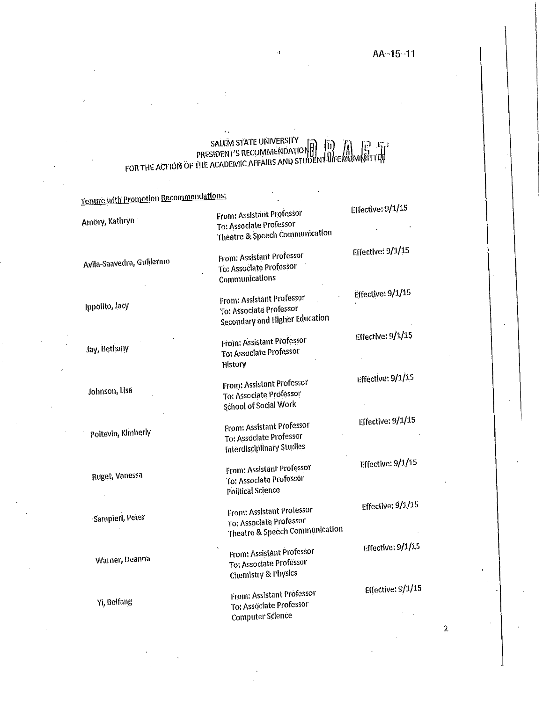$\overline{2}$ 

# SALEM STATE UNIVERSITY<br>PRESIDENT'S RECOMMENDATION BUDENT LIFE COMMENT<br>FOR THE ACTION OF THE ACADEMIC AFFAIRS AND STUDENT LIFE COMMITTER

| Tenure with Promotion Recommendations: |                                                                                               | Effective: 9/1/15   |
|----------------------------------------|-----------------------------------------------------------------------------------------------|---------------------|
| Amory, Kathryn                         | <b>From: Assistant Professor</b><br>To: Associate Professor<br>Theatre & Speech Communication |                     |
| Avila-Saavedra, Guillermo              | From: Assistant Professor<br><b>To: Associate Professor</b><br>Communications                 | Effective: 9/1/15   |
| Ippolito, Jacy                         | <b>From: Assistant Professor</b><br>To: Associate Professor<br>Secondary and Higher Education | Effective: 9/1/15   |
| Jay, Bethany                           | From: Assistant Professor<br>To: Associate Professor<br>History                               | Effective: 9/1/15   |
| Johnson, Lisa                          | From: Assistant Professor<br>To: Associate Professor<br><b>School of Social Work</b>          | Effective: 9/1/15   |
| Poitevin, Kimberly                     | From: Assistant Professor<br>To: Associate Professor<br>Interdisciplinary Studies             | Effective: 9/1/15   |
| Ruget, Vanessa                         | From: Assistant Professor<br>To: Associate Professor<br>Political Science                     | Effective: 9/1/15   |
| Sampleri, Peter                        | From: Assistant Professor<br>To: Associate Professor<br>Theatre & Speech Communication        | Effective: $9/1/15$ |
| Warner, Deanna                         | From: Assistant Professor<br><b>To: Associate Professor</b><br><b>Chemistry &amp; Physics</b> | Effective: 9/1/15   |
| Yi, Beifang                            | From: Assistant Professor<br>To: Associate Professor<br>Computer Science                      | Effective: 9/1/15   |
|                                        |                                                                                               |                     |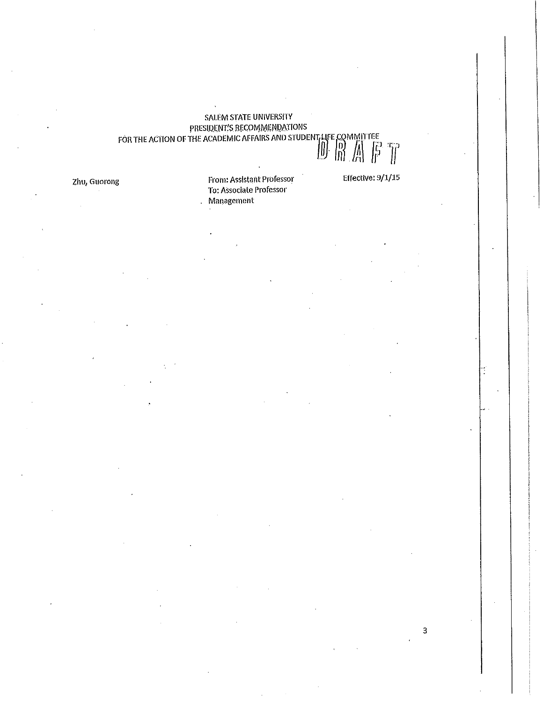# SALEM STATE UNIVERSITY<br>
PRESIDENT'S RECOMMENDATIONS<br>
FOR THE ACTION OF THE ACADEMIC AFFAIRS AND STUDENT LIFE COMMITTEE<br>  $\begin{bmatrix} 0 \\ 1 \end{bmatrix}$ .  $\begin{bmatrix} 1 \\ 0 \end{bmatrix}$

Zhu, Guorong

From: Assistant Professor To: Associate Professor Management

Effective: 9/1/15

3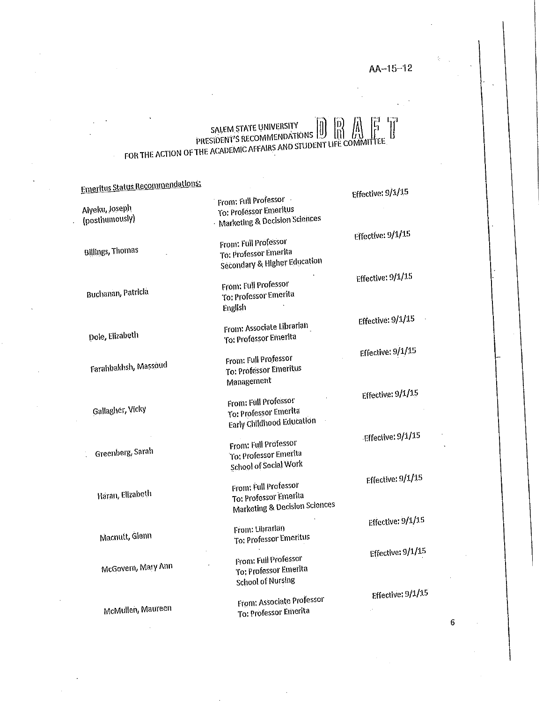# SALEM STATE UNIVERSITY PRESIDENT'S RECOMMENDATIONS FOR THE ACTION OF THE ACADEMIC AFFAIRS AND STUDENT LIFE COMMIT

|  | meritus Status Recommengations. |
|--|---------------------------------|
|  |                                 |

وعاملته والأراد

Alyeku, Joseph (posthumously)

**Billings, Thomas** 

Buchanan, Patricia

Dole, Elizabeth

Farahbakhsh, Massoud

Gallagher, Vicky

Greenberg, Sarah

Haran, Elizabeth

Macnutt, Gienn

McGovern, Mary Ann

McMullen, Maureen

From: Full Professor To: Professor Emeritus Marketing & Decision Sciences

From: Full Professor To: Professor Emerita Secondary & Higher Education

From: Full Professor To: Professor Emerita English

From: Associate Librarian To: Professor Emerita

From: Full Professor To: Professor Emeritus Management

From: Full Professor To: Professor Emerita **Early Childhood Education** 

From: Full Professor To: Professor Emerita School of Social Work

From: Full Professor To: Professor Emerita Marketing & Decision Sciences

From: Librarian To: Professor Emeritus

From: Full Professor To: Professor Emerita **School of Nursing** 

**From: Associate Professor** To: Professor Emerita

Effective: 9/1/15

Effective:  $9/1/15$ 

Effective: 9/1/15

Effective: 9/1/15

Effective: 9/1/15

Effective: 9/1/15

Effective: 9/1/15

Effective: 9/1/15

Effective: 9/1/15

Effective: 9/1/15

Effective: 9/1/15

6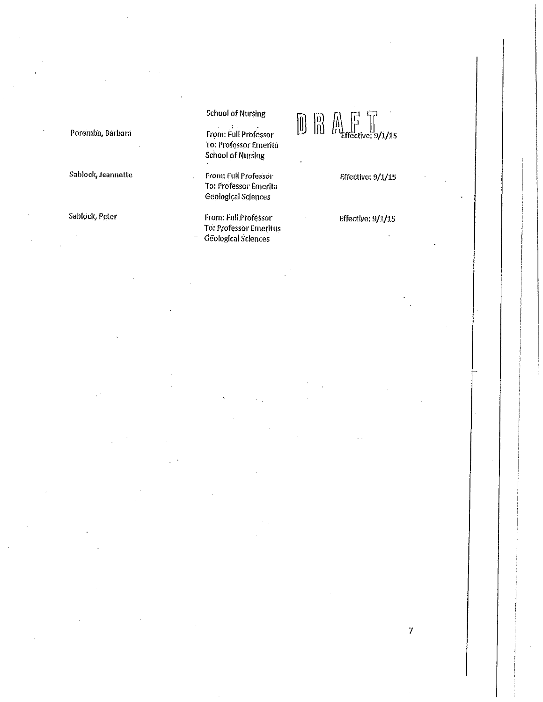#### Poremba, Barbara

Sablock, Jeannette

Sablock, Peter

# **School of Nursing**

From: Full Professor To: Professor Emerita **School of Nursing** 

From: Full Professor To: Professor Emerita **Geological Sciences** 

From: Full Professor **To: Professor Emeritus** Geological Sciences

# $\begin{bmatrix} 0 \\ 0 \end{bmatrix} \begin{bmatrix} 0 \\ 0 \end{bmatrix} \begin{bmatrix} 0 \\ 0 \end{bmatrix} \begin{bmatrix} 0 \\ 0 \end{bmatrix} \begin{bmatrix} 0 \\ 0 \end{bmatrix}$

Effective: 9/1/15

Effective: 9/1/15

 $\boldsymbol{7}$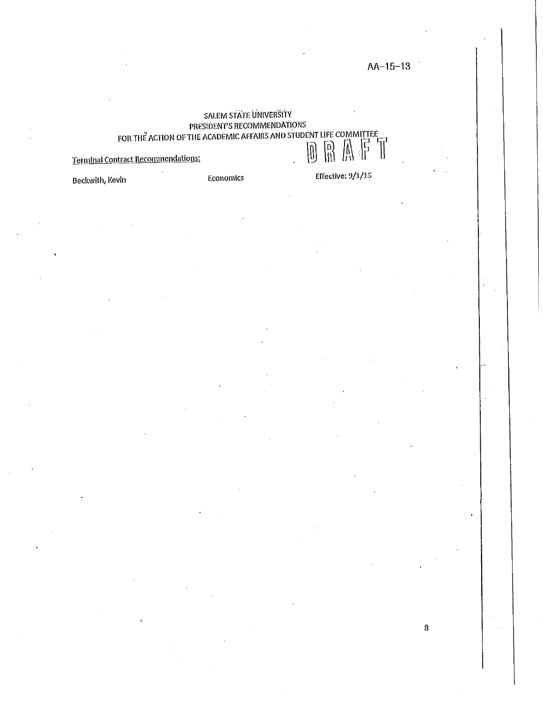8

# SALEM STATE UNIVERSITY SALEW SING SALEW BESIDENT STATE SALEW BESIDENT STATE ON MITTEE<br>PRESIDENT'S RECOMMENDATIONS<br>FOR THE ACTION OF THE ACADEMIC AFFAIRS AND STUDENT LIFE COMMITTEE  $\begin{matrix} 0 \\ 0 \\ 0 \end{matrix} \begin{matrix} 0 \\ 0 \\ 0 \\ 0 \end{matrix}$

Terminal Contract Recommendations:

Economics

Effective: 9/1/15

Beckwith, Kevin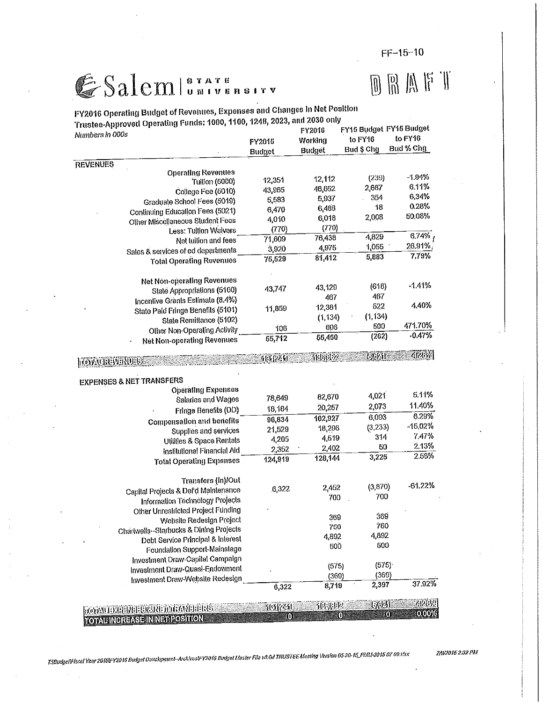$FF-15-10$ 

# GSalemluniversity

# $\begin{array}{c} \mathbb{D}\mathbb{R}\mathbb{M}\mathbb{F}\mathbb{T} \end{array}$

| FY2016 Operating Budget of Revenues, Expenses and Changes in Net Position |                  |          |                         |           |  |
|---------------------------------------------------------------------------|------------------|----------|-------------------------|-----------|--|
| Trustee-Approved Operating Funds: 1000, 1100, 1248, 2023, and 2030 only   |                  | FY2016   | FY15 Budget FY15 Budget |           |  |
| Numbers in 000s                                                           | FY2015           | Working  | to FY16                 | to FY16   |  |
|                                                                           | Budget           | Budget   | Bud \$ Chg              | Bud % Chg |  |
|                                                                           |                  |          |                         |           |  |
| <b>REVENUES</b><br><b>Operating Revenues</b>                              |                  |          |                         |           |  |
| Tuilion (5000)                                                            | 12,351           | 12,112   | (239)                   | $-1.94%$  |  |
| College Fee (5010)                                                        | 43.965           | 46,652   | 2,687                   | 6.11%     |  |
| Graduate School Fees (5019)                                               | 5,583            | 5,937    | 354                     | 6.34%     |  |
| Continuing Education Fees (5021)                                          | 6,470            | 6,488    | 18                      | 028%      |  |
| Other Miscellaneous Student Fees                                          | 4,010            | 6,018    | 2,008                   | 50,08%    |  |
| Less: Tuilion Waivers                                                     | (770)            | (770)    |                         |           |  |
| Net tuition and fees                                                      | 71,609           | 76,438   | 4,829                   | 6.74%     |  |
| Sales & services of ed departments                                        | 3,920            | 4,975    | 1,055                   | 26.91%    |  |
| <b>Total Operating Revenues</b>                                           | 75,529           | 81,412   | 5,883                   | 7.79%     |  |
| Net Non-operating Revenues                                                |                  |          |                         |           |  |
| State Appropriations (5100)                                               | 43,747           | 43,129   | (618)                   | $-1.41%$  |  |
| Incentive Grants Estimate (8.4%)                                          |                  | 467      | 467                     |           |  |
| State Pald Fringe Benefits (5101)                                         | 11,859           | 12,381   | 522                     | 4.40%     |  |
| State Remittance (5102)                                                   |                  | (1, 134) | (1, 134)                |           |  |
| Other Non-Operating Activity                                              | 106              | 606      | 500                     | 471.70%   |  |
| <b>Net Non-operating Revenues</b>                                         | $\sqrt{55,712}$  | 55,450   | (262)                   | $-0.47%$  |  |
| <b>MOVAUREVERDES</b>                                                      | 988251           | Work?    | 39.291                  | 488VA     |  |
| <b>EXPENSES &amp; NET TRANSFERS</b>                                       |                  |          |                         |           |  |
| <b>Operating Expenses</b>                                                 |                  |          |                         |           |  |
| Salaries and Wages                                                        | 78,649           | 82,670   | 4,021                   | 5.11%     |  |
| Fringe Benefits (DD)                                                      | 18,184           | 20,257   | 2,073                   | 11.40%    |  |
| Compensation and benefits                                                 | 96,834           | 102,927  | 6,093                   | 6.29%     |  |
| Supplies and services                                                     | 21,529           | 18,296   | (3.233)                 | $-15,02%$ |  |
| Utilities & Space Rentals                                                 | 4,205            | 4,519    | 314                     | 7.47%     |  |
| Institutional Financial Aid                                               | 2,352            | 2.402    | 50                      | 2.13%     |  |
| <b>Total Operating Expenses</b>                                           | 124,919          | 128,144  | 3,225                   | 2.58%     |  |
| Transfers (In)/Out                                                        |                  |          |                         |           |  |
| Capital Projects & Def'd Maintenance                                      | 6,322            | 2.452    | (3.870)                 | $-61.22%$ |  |
| Information Technology Projects                                           |                  | 700      | 700                     |           |  |
| Other Unrestricted Project Funding                                        |                  |          |                         |           |  |
| Website Redesign Project                                                  |                  | 369      | 369                     |           |  |
| Chartwells--Starbucks & Dining Projects                                   |                  | 750      | 750                     |           |  |
| Debt Service Principal & Interest                                         |                  | 4,892    | 4,892                   |           |  |
| Foundation Support-Mainstage                                              |                  | 500      | 500                     |           |  |
| Investment Draw-Capital Campaign                                          |                  |          |                         |           |  |
| Investment Draw-Quasi-Endowment                                           |                  | (575)    | (575)                   |           |  |
| Investment Draw-Website Redesign                                          |                  | (369)    | (369)                   |           |  |
|                                                                           | $\sqrt{6}$ , 322 | 8,719    | 2,397                   | 37.92%    |  |
| <u> Franziski primerali († 1888)</u>                                      | acaresal         | 他来感      | 1,691                   | 412021    |  |
| <b>TOTALINGREASE INNET POSITION</b>                                       | O)               |          | 0<br>O                  | 0.00%     |  |

T:|Budge||Fiscal Year 2016|FY2016 Budge| Davelopment-Archivas|FY2016 Budge| Master File v8.0d TRUSTEE Meeting Version 05-20-15\_PMM-2015 07 09.xlsx

7/9/2016 2:32 PM

 $\ddot{\phantom{a}}$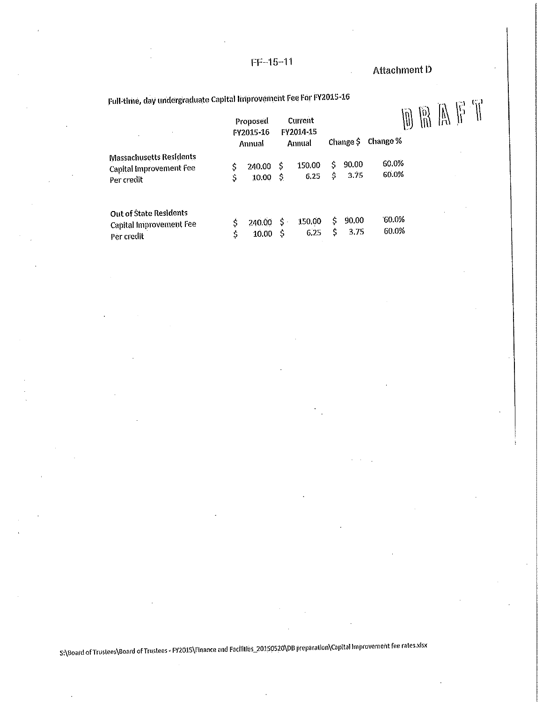$FF-15-11$ 

Attachment D

Full-time, day undergraduate Capital Improvement Fee For FY2015-16

| Full-time, day undergraduate Capital Improvement Fee For FY2015-16      | Proposed<br>FY2015-16<br>Annual |                     | Current<br>FY2014-15<br>Annual |          | Change $\hat{S}$ | $\left\{ 0\right\}$<br>Change % |  |  |  |
|-------------------------------------------------------------------------|---------------------------------|---------------------|--------------------------------|----------|------------------|---------------------------------|--|--|--|
| <b>Massachusetts Residents</b><br>Capital Improvement Fee<br>Per credit | \$<br>240.00<br>10.00           | -\$<br>-\$          | 150.00<br>6.25                 | S.<br>\$ | 90.00<br>3.75    | 60.0%<br>60.0%                  |  |  |  |
| <b>Out of State Residents</b><br>Capital Improvement Fee<br>Per credit  | \$<br>240.00<br>10.00           | $\mathsf{S}$ .<br>Ŝ | 150.00<br>6.25                 | Ś<br>S   | 90.00<br>3.75    | 60.0%<br>60.0%                  |  |  |  |

S:\Board of Trustees\Board of Trustees - FY2015\Finance and Facilities\_20150520\DB preparation\Capital Improvement fee rates.xlsx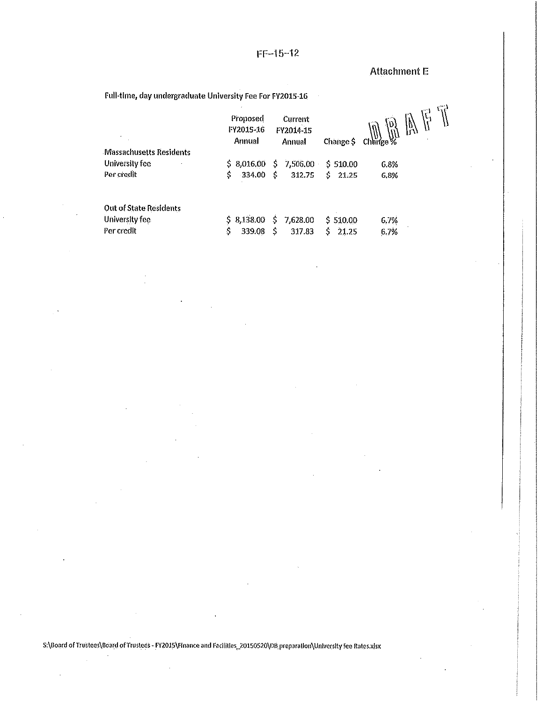$FF-15-12$ 

# Attachment E

Full-time, day undergraduate University Fee For FY2015-16

|                               | Proposed<br>Current<br><b>FY2015-16</b><br>FY2014-15<br>Annual<br>Annual |                 | Change \$    | v<br>È,<br>$\frac{10}{100}$ Change % |
|-------------------------------|--------------------------------------------------------------------------|-----------------|--------------|--------------------------------------|
| Massachusetts Residents       |                                                                          |                 |              |                                      |
| University fee                | \$8,0.16.00                                                              | 7,506.00<br>Ŝ.  | \$510.00     | 6.8%                                 |
| Per credit                    | \$<br>334.00                                                             | Ŝ.<br>312.75    | \$.<br>21.25 | 6,8%                                 |
| <b>Out of State Residents</b> |                                                                          |                 |              |                                      |
| University fee                | \$8,138.00                                                               | \$.<br>7,628.00 | \$510.00     | 6,7%                                 |
| Per credit                    | \$<br>339.08                                                             | \$<br>317.83    | \$<br>21.25  | 6.7%                                 |

S:\Board of Trustees\Board of Trustees - FY2015\Finance and Facilities\_20150520\DB preparation\University fee Rates.xlsx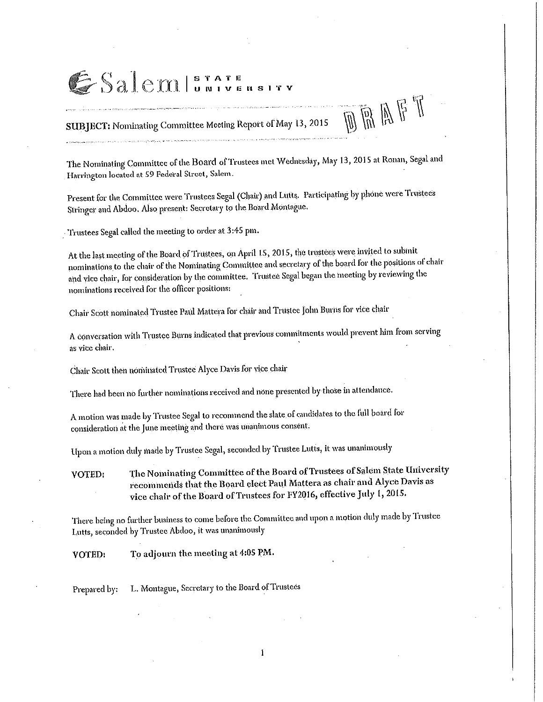# ESalemISTATE

.<br>Na na baoi ao amin'ny faritr'i Nord-Amerika ao amin'ny faritr'i Nord-Amerika. Ny faritr'i Nord-Amerika dia Ger

SUBJECT: Nominating Committee Meeting Report of May 13, 2015

The Nominating Committee of the Board of Trustees met Wednesday, May 13, 2015 at Ronan, Segal and Harrington located at 59 Federal Street, Salem.

OBAFT

Present for the Committee were Trustees Segal (Chair) and Lutts. Participating by phone were Trustees Stringer and Abdoo. Also present: Secretary to the Board Montague.

Trustees Segal called the meeting to order at 3:45 pm.

At the last meeting of the Board of Trustees, on April 15, 2015, the trustees were invited to submit nominations to the chair of the Nominating Committee and secretary of the board for the positions of chair and vice chair, for consideration by the committee. Trustee Segal began the meeting by reviewing the nominations received for the officer positions:

Chair Scott nominated Trustee Paul Mattera for chair and Trustee John Burns for vice chair

A conversation with Trustee Burns indicated that previous commitments would prevent him from serving as vice chair.

Chair Scott then nominated Trustee Alyce Davis for vice chair

There had been no further nominations received and none presented by those in attendance.

A motion was made by Trustee Segal to recommend the slate of candidates to the full board for consideration at the June meeting and there was unanimous consent.

Upon a motion duly made by Trustee Segal, seconded by Trustee Lutts, it was unanimously

The Nominating Committee of the Board of Trustees of Salem State University **VOTED:** recommends that the Board elect Paul Mattera as chair and Alyce Davis as vice chair of the Board of Trustees for FY2016, effective July 1, 2015.

There being no further business to come before the Committee and upon a motion duly made by Trustee Lutts, seconded by Trustee Abdoo, it was unanimously

To adjourn the meeting at 4:05 PM. **VOTED:** 

L. Montague, Secretary to the Board of Trustees Prepared by: